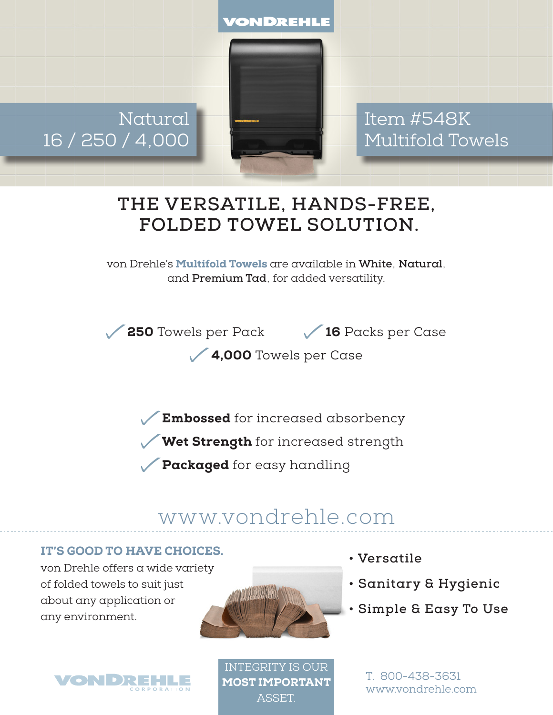VONDREHLE

Natural 16 / 250 / 4,000

Item #548K Multifold Towels

## **THE VERSATILE, HANDS-FREE, FOLDED TOWEL SOLUTION.**

von Drehle's Multifold Towels are available in **White**, **Natural**, and **Premium Tad**, for added versatility.

250 Towels per Pack 16 Packs per Case

4,000 Towels per Case

Embossed for increased absorbency

Wet Strength for increased strength

Packaged for easy handling

# www.vondrehle.com

#### IT'S GOOD TO HAVE CHOICES.

von Drehle offers a wide variety of folded towels to suit just about any application or any environment.





**• Versatile**

- **Sanitary & Hygienic**
- **Simple & Easy To Use**

INTEGRITY IS OUR MOST IMPORTANT **ASSET** 

T. 800-438-3631 www.vondrehle.com